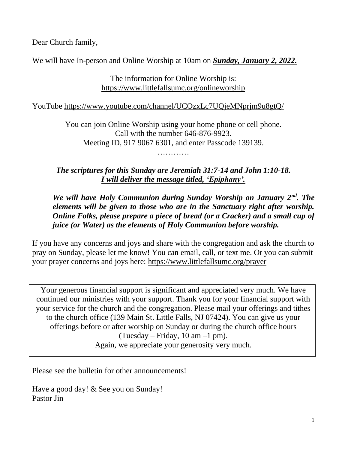Dear Church family,

We will have In-person and Online Worship at 10am on *Sunday, January 2, 2022.*

The information for Online Worship is: <https://www.littlefallsumc.org/onlineworship>

YouTube<https://www.youtube.com/channel/UCOzxLc7UQjeMNprjm9u8gtQ/>

You can join Online Worship using your home phone or cell phone. Call with the number 646-876-9923. Meeting ID, 917 9067 6301, and enter Passcode 139139.

…………

*The scriptures for this Sunday are Jeremiah 31:7-14 and John 1:10-18. I will deliver the message titled, 'Epiphany'.*

*We will have Holy Communion during Sunday Worship on January 2nd. The elements will be given to those who are in the Sanctuary right after worship. Online Folks, please prepare a piece of bread (or a Cracker) and a small cup of juice (or Water) as the elements of Holy Communion before worship.*

If you have any concerns and joys and share with the congregation and ask the church to pray on Sunday, please let me know! You can email, call, or text me. Or you can submit your prayer concerns and joys here: <https://www.littlefallsumc.org/prayer>

Your generous financial support is significant and appreciated very much. We have continued our ministries with your support. Thank you for your financial support with your service for the church and the congregation. Please mail your offerings and tithes to the church office (139 Main St. Little Falls, NJ 07424). You can give us your offerings before or after worship on Sunday or during the church office hours (Tuesday – Friday,  $10 \text{ am} - 1 \text{ pm}$ ). Again, we appreciate your generosity very much.

Please see the bulletin for other announcements!

Have a good day! & See you on Sunday! Pastor Jin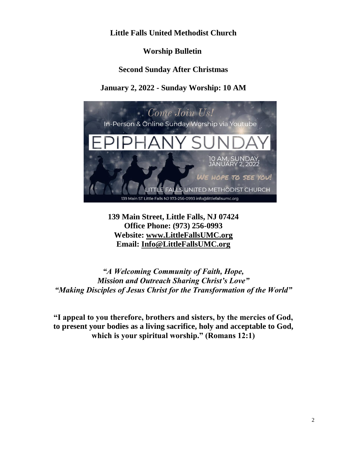# **Little Falls United Methodist Church**

# **Worship Bulletin**

## **Second Sunday After Christmas**

# **January 2, 2022 - Sunday Worship: 10 AM**



**139 Main Street, Little Falls, NJ 07424 Office Phone: (973) 256-0993 Website: [www.LittleFallsUMC.org](http://www.littlefallsumc.org/) Email: [Info@LittleFallsUMC.org](mailto:Info@LittleFallsUMC.org)**

*"A Welcoming Community of Faith, Hope, Mission and Outreach Sharing Christ's Love" "Making Disciples of Jesus Christ for the Transformation of the World"*

**"I appeal to you therefore, brothers and sisters, by the mercies of God, to present your bodies as a living sacrifice, holy and acceptable to God, which is your spiritual worship." (Romans 12:1)**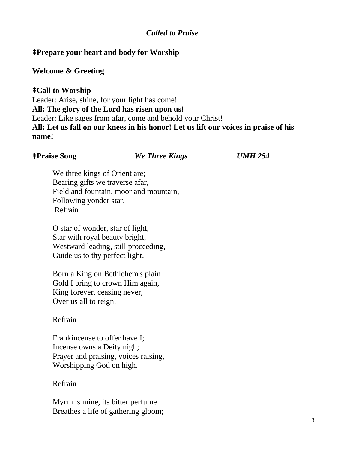# *Called to Praise*

## ⭻**Prepare your heart and body for Worship**

#### **Welcome & Greeting**

## ⭻**Call to Worship**

Leader: Arise, shine, for your light has come! **All: The glory of the Lord has risen upon us!** Leader: Like sages from afar, come and behold your Christ! **All: Let us fall on our knees in his honor! Let us lift our voices in praise of his name!**

#### ⭻**Praise Song** *We Three Kings UMH 254*

We three kings of Orient are; Bearing gifts we traverse afar, Field and fountain, moor and mountain, Following yonder star. Refrain

O star of wonder, star of light, Star with royal beauty bright, Westward leading, still proceeding, Guide us to thy perfect light.

Born a King on Bethlehem's plain Gold I bring to crown Him again, King forever, ceasing never, Over us all to reign.

#### Refrain

Frankincense to offer have I; Incense owns a Deity nigh; Prayer and praising, voices raising, Worshipping God on high.

## Refrain

Myrrh is mine, its bitter perfume Breathes a life of gathering gloom;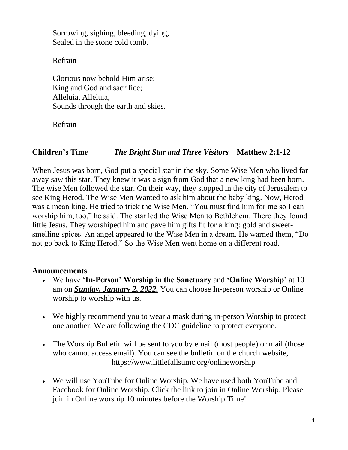Sorrowing, sighing, bleeding, dying, Sealed in the stone cold tomb.

Refrain

Glorious now behold Him arise; King and God and sacrifice; Alleluia, Alleluia, Sounds through the earth and skies.

Refrain

# **Children's Time** *The Bright Star and Three Visitors* **Matthew 2:1-12**

When Jesus was born, God put a special star in the sky. Some Wise Men who lived far away saw this star. They knew it was a sign from God that a new king had been born. The wise Men followed the star. On their way, they stopped in the city of Jerusalem to see King Herod. The Wise Men Wanted to ask him about the baby king. Now, Herod was a mean king. He tried to trick the Wise Men. "You must find him for me so I can worship him, too," he said. The star led the Wise Men to Bethlehem. There they found little Jesus. They worshiped him and gave him gifts fit for a king: gold and sweetsmelling spices. An angel appeared to the Wise Men in a dream. He warned them, "Do not go back to King Herod." So the Wise Men went home on a different road.

## **Announcements**

- We have '**In-Person' Worship in the Sanctuary** and **'Online Worship'** at 10 am on *Sunday, January 2, 2022.* You can choose In-person worship or Online worship to worship with us.
- We highly recommend you to wear a mask during in-person Worship to protect one another. We are following the CDC guideline to protect everyone.
- The Worship Bulletin will be sent to you by email (most people) or mail (those who cannot access email). You can see the bulletin on the church website, <https://www.littlefallsumc.org/onlineworship>
- We will use YouTube for Online Worship. We have used both YouTube and Facebook for Online Worship. Click the link to join in Online Worship. Please join in Online worship 10 minutes before the Worship Time!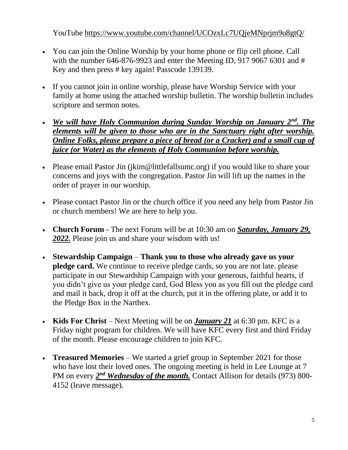YouTube<https://www.youtube.com/channel/UCOzxLc7UQjeMNprjm9u8gtQ/>

- You can join the Online Worship by your home phone or flip cell phone. Call with the number 646-876-9923 and enter the Meeting ID, 917 9067 6301 and # Key and then press # key again! Passcode 139139.
- If you cannot join in online worship, please have Worship Service with your family at home using the attached worship bulletin. The worship bulletin includes scripture and sermon notes.
- *We will have Holy Communion during Sunday Worship on January 2nd. The elements will be given to those who are in the Sanctuary right after worship. Online Folks, please prepare a piece of bread (or a Cracker) and a small cup of juice (or Water) as the elements of Holy Communion before worship.*
- Please email Pastor Jin (jkim@littlefallsumc.org) if you would like to share your concerns and joys with the congregation. Pastor Jin will lift up the names in the order of prayer in our worship.
- Please contact Pastor Jin or the church office if you need any help from Pastor Jin or church members! We are here to help you.
- **Church Forum** The next Forum will be at 10:30 am on *Saturday, January 29, 2022.* Please join us and share your wisdom with us!
- **Stewardship Campaign Thank you to those who already gave us your pledge card.** We continue to receive pledge cards, so you are not late. please participate in our Stewardship Campaign with your generous, faithful hearts, if you didn't give us your pledge card, God Bless you as you fill out the pledge card and mail it back, drop it off at the church, put it in the offering plate, or add it to the Pledge Box in the Narthex.
- **Kids For Christ** Next Meeting will be on *January 21* at 6:30 pm. KFC is a Friday night program for children. We will have KFC every first and third Friday of the month. Please encourage children to join KFC.
- **Treasured Memories**  We started a grief group in September 2021 for those who have lost their loved ones. The ongoing meeting is held in Lee Lounge at 7 PM on every  $2^{nd}$  *Wednesday of the month.* Contact Allison for details (973) 800-4152 (leave message).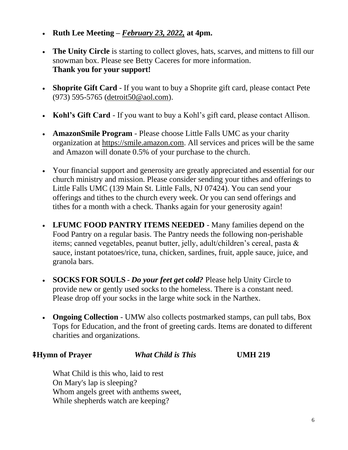- **Ruth Lee Meeting –** *February 23, 2022,* **at 4pm.**
- **The Unity Circle** is starting to collect gloves, hats, scarves, and mittens to fill our snowman box. Please see Betty Caceres for more information. **Thank you for your support!**
- **Shoprite Gift Card** If you want to buy a Shoprite gift card, please contact Pete (973) 595-5765 [\(detroit50@aol.com\)](mailto:detroit50@aol.com).
- **Kohl's Gift Card** If you want to buy a Kohl's gift card, please contact Allison.
- **AmazonSmile Program**  Please choose Little Falls UMC as your charity organization at https://smile.amazon.com. All services and prices will be the same and Amazon will donate 0.5% of your purchase to the church.
- Your financial support and generosity are greatly appreciated and essential for our church ministry and mission. Please consider sending your tithes and offerings to Little Falls UMC (139 Main St. Little Falls, NJ 07424). You can send your offerings and tithes to the church every week. Or you can send offerings and tithes for a month with a check. Thanks again for your generosity again!
- **LFUMC FOOD PANTRY ITEMS NEEDED** Many families depend on the Food Pantry on a regular basis. The Pantry needs the following non-perishable items; canned vegetables, peanut butter, jelly, adult/children's cereal, pasta & sauce, instant potatoes/rice, tuna, chicken, sardines, fruit, apple sauce, juice, and granola bars.
- **SOCKS FOR SOULS** *Do your feet get cold?* Please help Unity Circle to provide new or gently used socks to the homeless. There is a constant need. Please drop off your socks in the large white sock in the Narthex.
- **Ongoing Collection** UMW also collects postmarked stamps, can pull tabs, Box Tops for Education, and the front of greeting cards. Items are donated to different charities and organizations.

## ⭻**Hymn of Prayer** *What Child is This* **UMH 219**

What Child is this who, laid to rest On Mary's lap is sleeping? Whom angels greet with anthems sweet, While shepherds watch are keeping?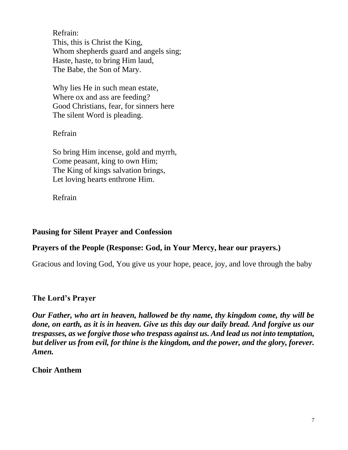Refrain: This, this is Christ the King, Whom shepherds guard and angels sing; Haste, haste, to bring Him laud, The Babe, the Son of Mary.

Why lies He in such mean estate, Where ox and ass are feeding? Good Christians, fear, for sinners here The silent Word is pleading.

# Refrain

So bring Him incense, gold and myrrh, Come peasant, king to own Him; The King of kings salvation brings, Let loving hearts enthrone Him.

Refrain

# **Pausing for Silent Prayer and Confession**

# **Prayers of the People (Response: God, in Your Mercy, hear our prayers.)**

Gracious and loving God, You give us your hope, peace, joy, and love through the baby

# **The Lord's Prayer**

*Our Father, who art in heaven, hallowed be thy name, thy kingdom come, thy will be done, on earth, as it is in heaven. Give us this day our daily bread. And forgive us our trespasses, as we forgive those who trespass against us. And lead us not into temptation, but deliver us from evil, for thine is the kingdom, and the power, and the glory, forever. Amen.*

# **Choir Anthem**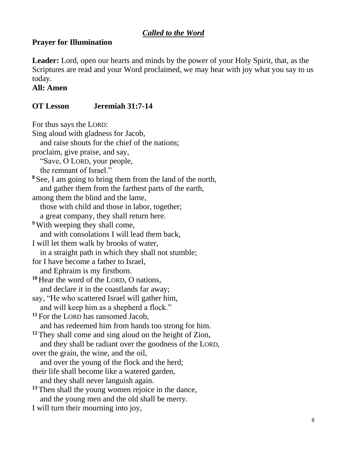# *Called to the Word*

# **Prayer for Illumination**

**Leader:** Lord, open our hearts and minds by the power of your Holy Spirit, that, as the Scriptures are read and your Word proclaimed, we may hear with joy what you say to us today.

**All: Amen**

# **OT Lesson Jeremiah 31:7-14**

For thus says the LORD:

Sing aloud with gladness for Jacob, and raise shouts for the chief of the nations; proclaim, give praise, and say, "Save, O LORD, your people, the remnant of Israel." **<sup>8</sup>** See, I am going to bring them from the land of the north, and gather them from the farthest parts of the earth, among them the blind and the lame, those with child and those in labor, together; a great company, they shall return here. **<sup>9</sup>** With weeping they shall come, and with consolations I will lead them back, I will let them walk by brooks of water, in a straight path in which they shall not stumble; for I have become a father to Israel, and Ephraim is my firstborn. **<sup>10</sup>** Hear the word of the LORD, O nations, and declare it in the coastlands far away; say, "He who scattered Israel will gather him, and will keep him as a shepherd a flock." **<sup>11</sup>** For the LORD has ransomed Jacob, and has redeemed him from hands too strong for him. **<sup>12</sup>** They shall come and sing aloud on the height of Zion, and they shall be radiant over the goodness of the LORD, over the grain, the wine, and the oil, and over the young of the flock and the herd; their life shall become like a watered garden, and they shall never languish again. **<sup>13</sup>** Then shall the young women rejoice in the dance, and the young men and the old shall be merry. I will turn their mourning into joy,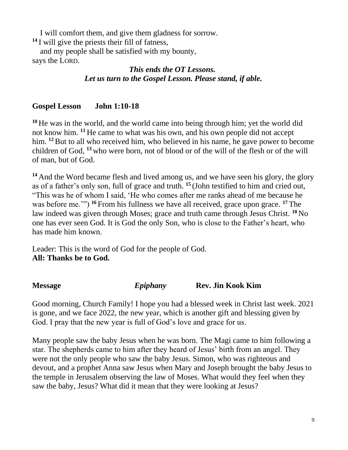I will comfort them, and give them gladness for sorrow.

**<sup>14</sup>** I will give the priests their fill of fatness,

and my people shall be satisfied with my bounty, says the LORD.

# *This ends the OT Lessons. Let us turn to the Gospel Lesson. Please stand, if able.*

# **Gospel Lesson John 1:10-18**

**<sup>10</sup>** He was in the world, and the world came into being through him; yet the world did not know him. **<sup>11</sup>** He came to what was his own, and his own people did not accept him. **<sup>12</sup>**But to all who received him, who believed in his name, he gave power to become children of God, **<sup>13</sup>** who were born, not of blood or of the will of the flesh or of the will of man, but of God.

**<sup>14</sup>** And the Word became flesh and lived among us, and we have seen his glory, the glory as of a father's only son, full of grace and truth. **<sup>15</sup>** (John testified to him and cried out, "This was he of whom I said, 'He who comes after me ranks ahead of me because he was before me.'") **<sup>16</sup>** From his fullness we have all received, grace upon grace. **<sup>17</sup>** The law indeed was given through Moses; grace and truth came through Jesus Christ. **<sup>18</sup>** No one has ever seen God. It is God the only Son, who is close to the Father's heart, who has made him known.

Leader: This is the word of God for the people of God. **All: Thanks be to God.**

**Message** *Epiphany* **Rev. Jin Kook Kim** 

Good morning, Church Family! I hope you had a blessed week in Christ last week. 2021 is gone, and we face 2022, the new year, which is another gift and blessing given by God. I pray that the new year is full of God's love and grace for us.

Many people saw the baby Jesus when he was born. The Magi came to him following a star. The shepherds came to him after they heard of Jesus' birth from an angel. They were not the only people who saw the baby Jesus. Simon, who was righteous and devout, and a prophet Anna saw Jesus when Mary and Joseph brought the baby Jesus to the temple in Jerusalem observing the law of Moses. What would they feel when they saw the baby, Jesus? What did it mean that they were looking at Jesus?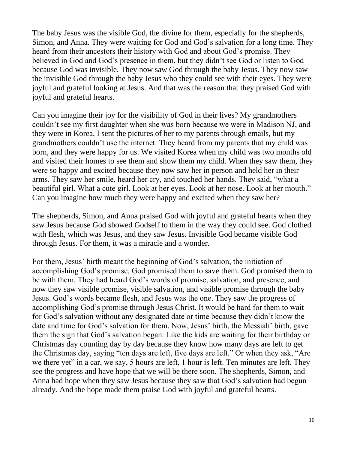The baby Jesus was the visible God, the divine for them, especially for the shepherds, Simon, and Anna. They were waiting for God and God's salvation for a long time. They heard from their ancestors their history with God and about God's promise. They believed in God and God's presence in them, but they didn't see God or listen to God because God was invisible. They now saw God through the baby Jesus. They now saw the invisible God through the baby Jesus who they could see with their eyes. They were joyful and grateful looking at Jesus. And that was the reason that they praised God with joyful and grateful hearts.

Can you imagine their joy for the visibility of God in their lives? My grandmothers couldn't see my first daughter when she was born because we were in Madison NJ, and they were in Korea. I sent the pictures of her to my parents through emails, but my grandmothers couldn't use the internet. They heard from my parents that my child was born, and they were happy for us. We visited Korea when my child was two months old and visited their homes to see them and show them my child. When they saw them, they were so happy and excited because they now saw her in person and held her in their arms. They saw her smile, heard her cry, and touched her hands. They said, "what a beautiful girl. What a cute girl. Look at her eyes. Look at her nose. Look at her mouth." Can you imagine how much they were happy and excited when they saw her?

The shepherds, Simon, and Anna praised God with joyful and grateful hearts when they saw Jesus because God showed Godself to them in the way they could see. God clothed with flesh, which was Jesus, and they saw Jesus. Invisible God became visible God through Jesus. For them, it was a miracle and a wonder.

For them, Jesus' birth meant the beginning of God's salvation, the initiation of accomplishing God's promise. God promised them to save them. God promised them to be with them. They had heard God's words of promise, salvation, and presence, and now they saw visible promise, visible salvation, and visible promise through the baby Jesus. God's words became flesh, and Jesus was the one. They saw the progress of accomplishing God's promise through Jesus Christ. It would be hard for them to wait for God's salvation without any designated date or time because they didn't know the date and time for God's salvation for them. Now, Jesus' birth, the Messiah' birth, gave them the sign that God's salvation began. Like the kids are waiting for their birthday or Christmas day counting day by day because they know how many days are left to get the Christmas day, saying "ten days are left, five days are left." Or when they ask, "Are we there yet" in a car, we say, 5 hours are left, 1 hour is left. Ten minutes are left. They see the progress and have hope that we will be there soon. The shepherds, Simon, and Anna had hope when they saw Jesus because they saw that God's salvation had begun already. And the hope made them praise God with joyful and grateful hearts.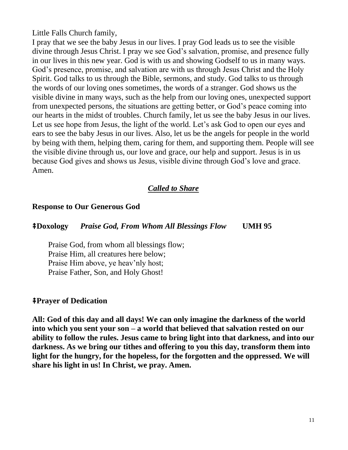Little Falls Church family,

I pray that we see the baby Jesus in our lives. I pray God leads us to see the visible divine through Jesus Christ. I pray we see God's salvation, promise, and presence fully in our lives in this new year. God is with us and showing Godself to us in many ways. God's presence, promise, and salvation are with us through Jesus Christ and the Holy Spirit. God talks to us through the Bible, sermons, and study. God talks to us through the words of our loving ones sometimes, the words of a stranger. God shows us the visible divine in many ways, such as the help from our loving ones, unexpected support from unexpected persons, the situations are getting better, or God's peace coming into our hearts in the midst of troubles. Church family, let us see the baby Jesus in our lives. Let us see hope from Jesus, the light of the world. Let's ask God to open our eyes and ears to see the baby Jesus in our lives. Also, let us be the angels for people in the world by being with them, helping them, caring for them, and supporting them. People will see the visible divine through us, our love and grace, our help and support. Jesus is in us because God gives and shows us Jesus, visible divine through God's love and grace. Amen.

## *Called to Share*

#### **Response to Our Generous God**

#### ⭻**Doxology** *Praise God, From Whom All Blessings Flow* **UMH 95**

Praise God, from whom all blessings flow; Praise Him, all creatures here below; Praise Him above, ye heav'nly host; Praise Father, Son, and Holy Ghost!

#### ⭻**Prayer of Dedication**

**All: God of this day and all days! We can only imagine the darkness of the world into which you sent your son – a world that believed that salvation rested on our ability to follow the rules. Jesus came to bring light into that darkness, and into our darkness. As we bring our tithes and offering to you this day, transform them into light for the hungry, for the hopeless, for the forgotten and the oppressed. We will share his light in us! In Christ, we pray. Amen.**